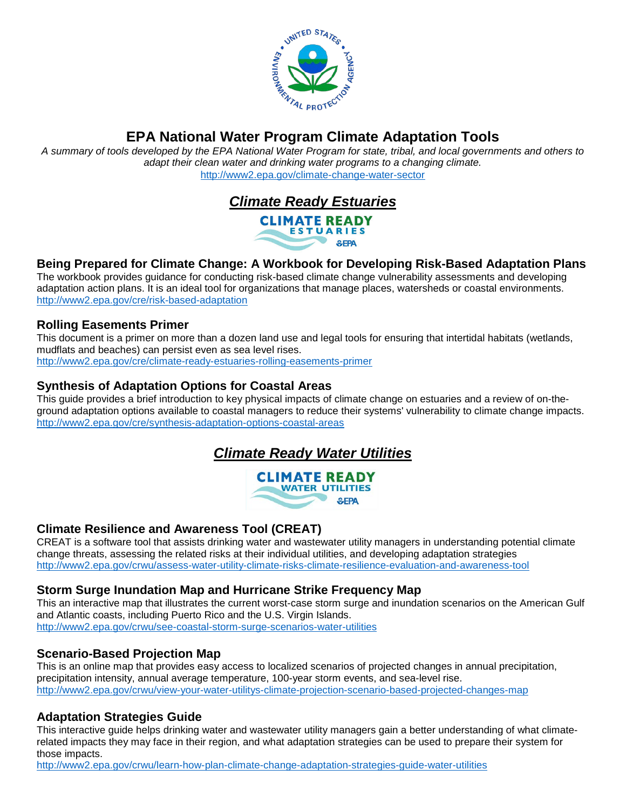

*A summary of tools developed by the EPA National Water Program for state, tribal, and local governments and others to adapt their clean water and drinking water programs to a changing climate.*  <http://www2.epa.gov/climate-change-water-sector>



### **Being Prepared for Climate Change: A Workbook for Developing Risk-Based Adaptation Plans**

The workbook provides guidance for conducting risk-based climate change vulnerability assessments and developing adaptation action plans. It is an ideal tool for organizations that manage places, watersheds or coastal environments. <http://www2.epa.gov/cre/risk-based-adaptation>

#### **Rolling Easements Primer**

This document is a primer on more than a dozen land use and legal tools for ensuring that intertidal habitats (wetlands, mudflats and beaches) can persist even as sea level rises. <http://www2.epa.gov/cre/climate-ready-estuaries-rolling-easements-primer>

#### **Synthesis of Adaptation Options for Coastal Areas**

This guide provides a brief introduction to key physical impacts of climate change on estuaries and a review of on-theground adaptation options available to coastal managers to reduce their systems' vulnerability to climate change impacts. <http://www2.epa.gov/cre/synthesis-adaptation-options-coastal-areas>

# *Climate Ready Water Utilities*



#### **Climate Resilience and Awareness Tool (CREAT)**

CREAT is a software tool that assists drinking water and wastewater utility managers in understanding potential climate change threats, assessing the related risks at their individual utilities, and developing adaptation strategies <http://www2.epa.gov/crwu/assess-water-utility-climate-risks-climate-resilience-evaluation-and-awareness-tool>

#### **Storm Surge Inundation Map and Hurricane Strike Frequency Map**

This an interactive map that illustrates the current worst-case storm surge and inundation scenarios on the American Gulf and Atlantic coasts, including Puerto Rico and the U.S. Virgin Islands.

<http://www2.epa.gov/crwu/see-coastal-storm-surge-scenarios-water-utilities>

#### **Scenario-Based Projection Map**

This is an online map that provides easy access to localized scenarios of projected changes in annual precipitation, precipitation intensity, annual average temperature, 100-year storm events, and sea-level rise. <http://www2.epa.gov/crwu/view-your-water-utilitys-climate-projection-scenario-based-projected-changes-map>

#### **Adaptation Strategies Guide**

This interactive guide helps drinking water and wastewater utility managers gain a better understanding of what climaterelated impacts they may face in their region, and what adaptation strategies can be used to prepare their system for those impacts.

<http://www2.epa.gov/crwu/learn-how-plan-climate-change-adaptation-strategies-guide-water-utilities>